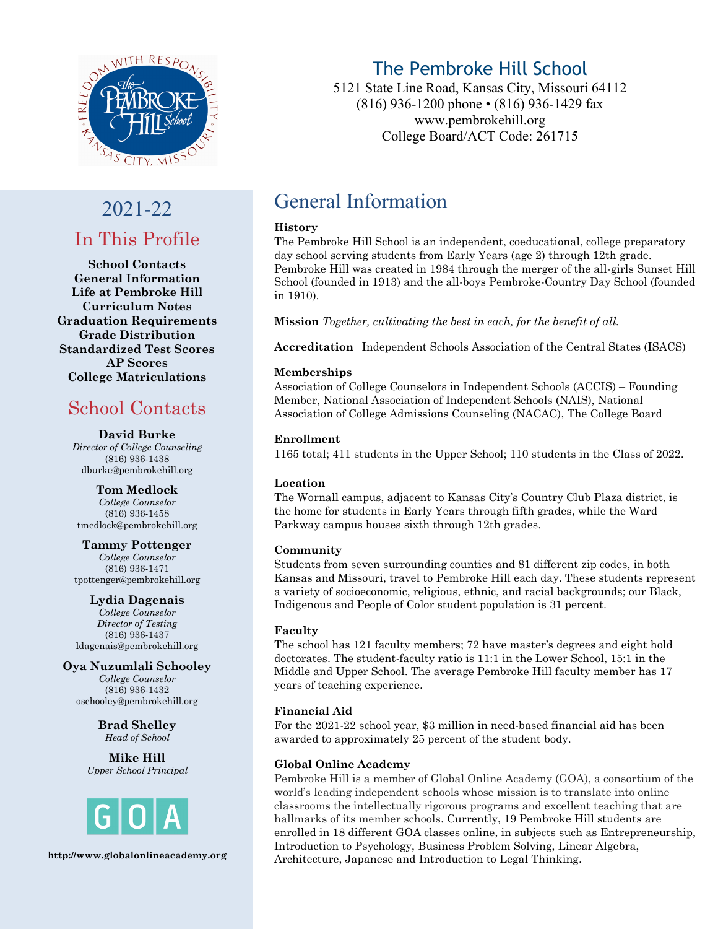

# 2021-22 In This Profile

**School Contacts General Information Life at Pembroke Hill Curriculum Notes Graduation Requirements Grade Distribution Standardized Test Scores AP Scores College Matriculations**

## School Contacts

#### **David Burke**

*Director of College Counseling* (816) 936-1438 [dburke@pembrokehill.org](mailto:dburke@pembrokehill.org)

**Tom Medlock** *College Counselor* (816) 936-1458 tmedlock@pembrokehill.org

**Tammy Pottenger** *College Counselor* (816) 936-1471 [tpottenger@pembrokehill.org](mailto:tmedlock@pembrokehill.org)

**Lydia Dagenais**

*College Counselor Director of Testing* (816) 936-1437 [ldagenais@pembrokehill.org](mailto:ldagenais@pembrokehill.org)

**Oya Nuzumlali Schooley** *College Counselor* (816) 936-1432 [oschooley@pembrokehill.org](mailto:oschooley@pembrokehill.org)

> **Brad Shelley** *Head of School*

**Mike Hill** *Upper School Principal*



**http://www.globalonlineacademy.org**

## The Pembroke Hill School

5121 State Line Road, Kansas City, Missouri 64112 (816) 936-1200 phone • (816) 936-1429 fax www.pembrokehill.org College Board/ACT Code: 261715

## General Information

#### **History**

The Pembroke Hill School is an independent, coeducational, college preparatory day school serving students from Early Years (age 2) through 12th grade. Pembroke Hill was created in 1984 through the merger of the all-girls Sunset Hill School (founded in 1913) and the all-boys Pembroke-Country Day School (founded in 1910).

**Mission** *Together, cultivating the best in each, for the benefit of all.*

**Accreditation** Independent Schools Association of the Central States (ISACS)

#### **Memberships**

Association of College Counselors in Independent Schools (ACCIS) – Founding Member, National Association of Independent Schools (NAIS), National Association of College Admissions Counseling (NACAC), The College Board

#### **Enrollment**

1165 total; 411 students in the Upper School; 110 students in the Class of 2022.

#### **Location**

The Wornall campus, adjacent to Kansas City's Country Club Plaza district, is the home for students in Early Years through fifth grades, while the Ward Parkway campus houses sixth through 12th grades.

#### **Community**

Students from seven surrounding counties and 81 different zip codes, in both Kansas and Missouri, travel to Pembroke Hill each day. These students represent a variety of socioeconomic, religious, ethnic, and racial backgrounds; our Black, Indigenous and People of Color student population is 31 percent.

#### **Faculty**

The school has 121 faculty members; 72 have master's degrees and eight hold doctorates. The student-faculty ratio is 11:1 in the Lower School, 15:1 in the Middle and Upper School. The average Pembroke Hill faculty member has 17 years of teaching experience.

#### **Financial Aid**

For the 2021-22 school year, \$3 million in need-based financial aid has been awarded to approximately 25 percent of the student body.

#### **Global Online Academy**

Pembroke Hill is a member of Global Online Academy (GOA), a consortium of the world's leading independent schools whose mission is to translate into online classrooms the intellectually rigorous programs and excellent teaching that are hallmarks of its member schools. Currently, 19 Pembroke Hill students are enrolled in 18 different GOA classes online, in subjects such as Entrepreneurship, Introduction to Psychology, Business Problem Solving, Linear Algebra, Architecture, Japanese and Introduction to Legal Thinking.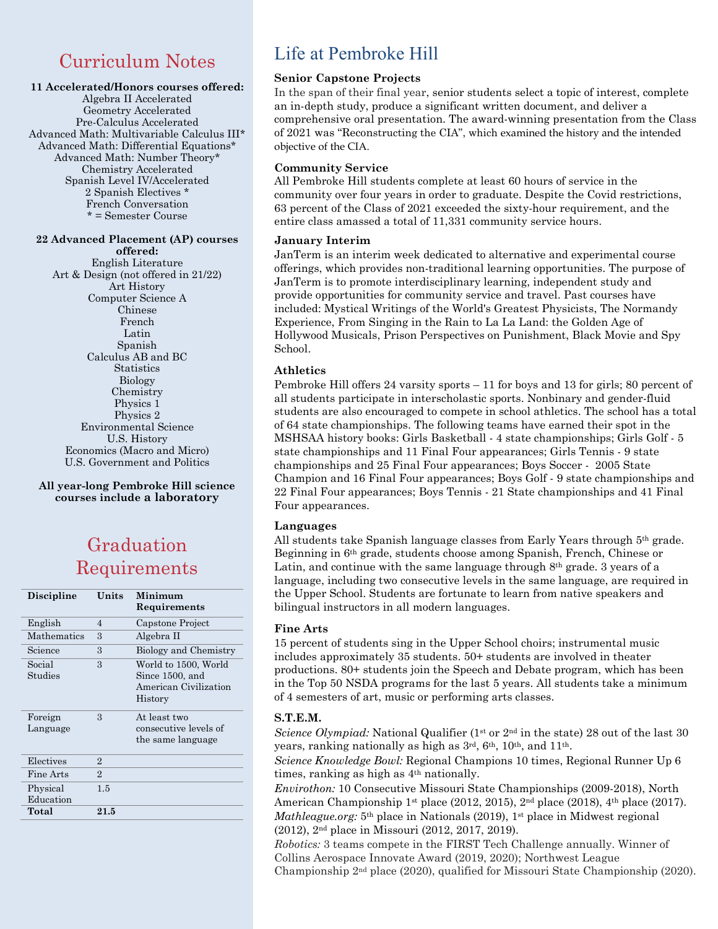## Curriculum Notes

#### **11 Accelerated/Honors courses offered:**

Algebra II Accelerated Geometry Accelerated Pre-Calculus Accelerated Advanced Math: Multivariable Calculus III\* Advanced Math: Differential Equations\* Advanced Math: Number Theory\* Chemistry Accelerated Spanish Level IV/Accelerated 2 Spanish Electives \* French Conversation \* = Semester Course

#### **22 Advanced Placement (AP) courses offered:**

English Literature Art & Design (not offered in 21/22) Art History Computer Science A Chinese French Latin Spanish Calculus AB and BC **Statistics** Biology Chemistry Physics 1 Physics 2 Environmental Science U.S. History Economics (Macro and Micro) U.S. Government and Politics

#### **All year-long Pembroke Hill science courses include a laboratory**

## Graduation Requirements

| <b>Discipline</b>     | Units          | Minimum<br>Requirements                                                     |
|-----------------------|----------------|-----------------------------------------------------------------------------|
| English               | 4              | Capstone Project                                                            |
| <b>Mathematics</b>    | 3              | Algebra II                                                                  |
| Science               | 3              | Biology and Chemistry                                                       |
| Social<br>Studies     | 3              | World to 1500, World<br>Since 1500, and<br>American Civilization<br>History |
| Foreign<br>Language   | 3              | At least two<br>consecutive levels of<br>the same language                  |
| Electives             | $\overline{2}$ |                                                                             |
| Fine Arts             | $\mathfrak{D}$ |                                                                             |
| Physical<br>Education | 1.5            |                                                                             |
| Total                 | 21.5           |                                                                             |

### Life at Pembroke Hill

#### **Senior Capstone Projects**

In the span of their final year, senior students select a topic of interest, complete an in-depth study, produce a significant written document, and deliver a comprehensive oral presentation. The award-winning presentation from the Class of 2021 was "Reconstructing the CIA", which examined the history and the intended objective of the CIA.

#### **Community Service**

All Pembroke Hill students complete at least 60 hours of service in the community over four years in order to graduate. Despite the Covid restrictions, 63 percent of the Class of 2021 exceeded the sixty-hour requirement, and the entire class amassed a total of 11,331 community service hours.

#### **January Interim**

JanTerm is an interim week dedicated to alternative and experimental course offerings, which provides non-traditional learning opportunities. The purpose of JanTerm is to promote interdisciplinary learning, independent study and provide opportunities for community service and travel. Past courses have included: Mystical Writings of the World's Greatest Physicists, The Normandy Experience, From Singing in the Rain to La La Land: the Golden Age of Hollywood Musicals, Prison Perspectives on Punishment, Black Movie and Spy School.

#### **Athletics**

Pembroke Hill offers 24 varsity sports – 11 for boys and 13 for girls; 80 percent of all students participate in interscholastic sports. Nonbinary and gender-fluid students are also encouraged to compete in school athletics. The school has a total of 64 state championships. The following teams have earned their spot in the MSHSAA history books: Girls Basketball - 4 state championships; Girls Golf - 5 state championships and 11 Final Four appearances; Girls Tennis - 9 state championships and 25 Final Four appearances; Boys Soccer - 2005 State Champion and 16 Final Four appearances; Boys Golf - 9 state championships and 22 Final Four appearances; Boys Tennis - 21 State championships and 41 Final Four appearances.

#### **Languages**

All students take Spanish language classes from Early Years through 5th grade. Beginning in 6th grade, students choose among Spanish, French, Chinese or Latin, and continue with the same language through  $8<sup>th</sup>$  grade. 3 years of a language, including two consecutive levels in the same language, are required in the Upper School. Students are fortunate to learn from native speakers and bilingual instructors in all modern languages.

#### **Fine Arts**

15 percent of students sing in the Upper School choirs; instrumental music includes approximately 35 students. 50+ students are involved in theater productions. 80+ students join the Speech and Debate program, which has been in the Top 50 NSDA programs for the last 5 years. All students take a minimum of 4 semesters of art, music or performing arts classes.

#### **S.T.E.M.**

*Science Olympiad:* National Qualifier (1<sup>st</sup> or 2<sup>nd</sup> in the state) 28 out of the last 30 years, ranking nationally as high as  $3<sup>rd</sup>$ ,  $6<sup>th</sup>$ ,  $10<sup>th</sup>$ , and  $11<sup>th</sup>$ .

*Science Knowledge Bowl:* Regional Champions 10 times, Regional Runner Up 6 times, ranking as high as 4th nationally.

*Envirothon:* 10 Consecutive Missouri State Championships (2009-2018), North American Championship 1<sup>st</sup> place (2012, 2015), 2<sup>nd</sup> place (2018), 4<sup>th</sup> place (2017). *Mathleague.org:* 5<sup>th</sup> place in Nationals (2019), 1<sup>st</sup> place in Midwest regional (2012), 2nd place in Missouri (2012, 2017, 2019).

*Robotics:* 3 teams compete in the FIRST Tech Challenge annually. Winner of Collins Aerospace Innovate Award (2019, 2020); Northwest League Championship 2nd place (2020), qualified for Missouri State Championship (2020).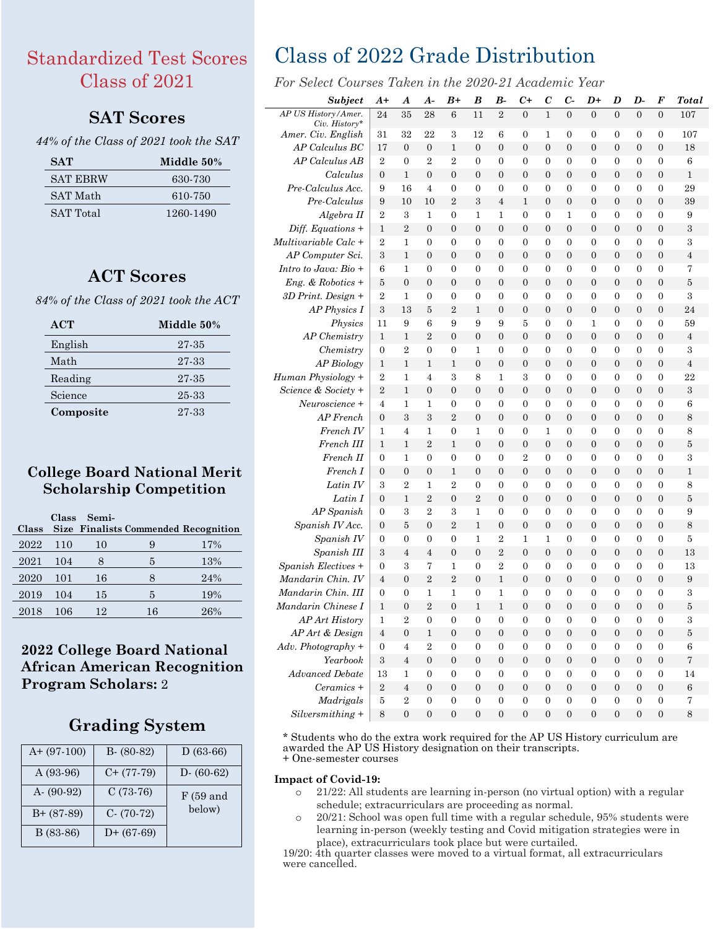## Standardized Test Scores Class of 2021

### **SAT Scores**

#### *44% of the Class of 2021 took the SAT*

| <b>SAT</b>      | Middle 50% |
|-----------------|------------|
| <b>SAT EBRW</b> | 630-730    |
| <b>SAT Math</b> | 610-750    |
| SAT Total       | 1260-1490  |

### **ACT Scores**

*84% of the Class of 2021 took the ACT*

| ACT       | Middle 50% |
|-----------|------------|
| English   | 27-35      |
| Math      | 27-33      |
| Reading   | 27-35      |
| Science   | 25-33      |
| Composite | 27-33      |

### **College Board National Merit Scholarship Competition**

| <b>Class</b> |                | Class Semi- |    | <b>Size Finalists Commended Recognition</b> |
|--------------|----------------|-------------|----|---------------------------------------------|
| 2022         | <sup>110</sup> | 10          | 9  | 17%                                         |
| 2021         | 104            |             | 5  | 13%                                         |
| 2020         | 101            | 16          |    | 24%                                         |
| 2019         | 104            | 15          | 5  | 19%                                         |
| 2018         | 106            | 12          | 16 | 26%                                         |

### **2022 College Board National African American Recognition Program Scholars:** 2

### **Grading System**

| $A+ (97-100)$ | $B - (80-82)$ | $D(63-66)$    |
|---------------|---------------|---------------|
| A (93-96)     | $C+ (77-79)$  | $D - (60-62)$ |
| $A - (90-92)$ | $C(73-76)$    | F(59 and      |
| $B+ (87-89)$  | $C- (70-72)$  | below)        |
| B (83-86)     | $D+$ (67-69)  |               |

## Class of 2022 Grade Distribution

*For Select Courses Taken in the 2020-21 Academic Year*

| <b>Subject</b>                        | A+                  | A                     | A-                               | B+                           | B                                    | В-                                   | $_{c\texttt{+}}$                 | $\bm{C}$                             | C-                                   | D+                                   | D                                    | D-                           | F                                    | Total          |
|---------------------------------------|---------------------|-----------------------|----------------------------------|------------------------------|--------------------------------------|--------------------------------------|----------------------------------|--------------------------------------|--------------------------------------|--------------------------------------|--------------------------------------|------------------------------|--------------------------------------|----------------|
| AP US History/Amer.                   | 24                  | 35                    | 28                               | 6                            | 11                                   | $\overline{2}$                       | $\theta$                         | $\mathbf{1}$                         | $\theta$                             | $\theta$                             | $\Omega$                             | $\theta$                     | $\Omega$                             | 107            |
| $Civ.$ History*<br>Amer. Civ. English | 31                  | 32                    | 22                               | 3                            | 12                                   | 6                                    | 0                                | 1                                    | 0                                    | 0                                    | 0                                    | 0                            | 0                                    | 107            |
| AP Calculus BC                        | 17                  | $\overline{0}$        | $\boldsymbol{0}$                 | $\mathbf{1}$                 | $\overline{0}$                       | $\overline{0}$                       | $\overline{0}$                   | $\overline{0}$                       | $\overline{0}$                       | $\overline{0}$                       | $\overline{0}$                       | $\overline{0}$               | $\boldsymbol{0}$                     | 18             |
| AP Calculus AB                        | $\overline{2}$      | $\mathbf{0}$          | $\overline{2}$                   | $\overline{2}$               | $\overline{0}$                       | $\mathbf{0}$                         | 0                                | $\mathbf{0}$                         | $\mathbf{0}$                         | $\overline{0}$                       | $\overline{0}$                       | 0                            | 0                                    | 6              |
| Calculus                              | $\overline{0}$      | $\mathbf{1}$          | $\overline{0}$                   | $\overline{0}$               | $\overline{0}$                       | $\overline{0}$                       | $\overline{0}$                   | $\overline{0}$                       | $\overline{0}$                       | $\overline{0}$                       | $\overline{0}$                       | $\overline{0}$               | $\overline{0}$                       | $\mathbf{1}$   |
| Pre-Calculus Acc.                     | 9                   | 16                    | 4                                | $\overline{0}$               | 0                                    | 0                                    | $\overline{0}$                   | 0                                    | 0                                    | $\overline{0}$                       | 0                                    | 0                            | $\overline{0}$                       | 29             |
| Pre-Calculus                          | 9                   | 10                    | 10                               | $\overline{2}$               | 3                                    | 4                                    | 1                                | $\mathbf{0}$                         | 0                                    | 0                                    | $\overline{0}$                       | 0                            | 0                                    | 39             |
| Algebra II                            | 2                   | 3                     | 1                                | $\overline{0}$               | 1                                    | 1                                    | 0                                | $\mathbf{0}$                         | 1                                    | $\overline{0}$                       | $\overline{0}$                       | 0                            | $\overline{0}$                       | 9              |
| $Diff. Equations +$                   | 1                   | $\overline{2}$        | $\overline{0}$                   | $\overline{0}$               | $\overline{0}$                       | $\overline{0}$                       | $\overline{0}$                   | $\theta$                             | $\overline{0}$                       | $\overline{0}$                       | $\overline{0}$                       | $\boldsymbol{0}$             | $\mathbf{0}$                         | 3              |
| Multivariable Calc +                  | $\overline{2}$      | 1                     | 0                                | 0                            | $\overline{0}$                       | $\overline{0}$                       | 0                                | 0                                    | 0                                    | $\overline{0}$                       | $\overline{0}$                       | 0                            | 0                                    | 3              |
| AP Computer Sci.                      | 3                   | 1                     | $\overline{0}$                   | $\overline{0}$               | $\overline{0}$                       | $\overline{0}$                       | $\overline{0}$                   | $\mathbf{0}$                         | $\overline{0}$                       | $\overline{0}$                       | $\overline{0}$                       | 0                            | $\overline{0}$                       | $\overline{4}$ |
| Intro to Java: Bio +                  | 6                   | 1                     | 0                                | 0                            | 0                                    | 0                                    | 0                                | 0                                    | 0                                    | 0                                    | 0                                    | 0                            | 0                                    | 7              |
| $Eng. \& Robotics +$                  | 5                   | $\overline{0}$        | 0                                | 0                            | $\overline{0}$                       | 0                                    | $\overline{0}$                   | $\boldsymbol{0}$                     | 0                                    | 0                                    | 0                                    | 0                            | $\overline{0}$                       | 5              |
| $3D$ Print. Design +                  | 2                   | 1                     | 0                                | $\mathbf{0}$                 | 0                                    | 0                                    | $\boldsymbol{0}$                 | 0                                    | 0                                    | 0                                    | 0                                    | $\mathbf{0}$                 | 0                                    | 3              |
| $AP$ Physics $I$                      | $\boldsymbol{3}$    | 13                    | 5                                | $\overline{2}$               | 1                                    | $\overline{0}$                       | $\mathbf{0}$                     | $\boldsymbol{0}$                     | $\overline{0}$                       | $\overline{0}$                       | $\overline{0}$                       | $\overline{0}$               | $\boldsymbol{0}$                     | 24             |
| Physics                               | 11                  | 9                     | 6                                | 9                            | 9                                    | 9                                    | 5                                | $\boldsymbol{0}$                     | $\overline{0}$                       | 1                                    | $\overline{0}$                       | $\overline{0}$               | 0                                    | 59             |
| AP Chemistry                          | 1                   | $\mathbf{1}$          | $\overline{2}$                   | $\overline{0}$               | $\overline{0}$                       | $\overline{0}$                       | $\overline{0}$                   | $\overline{0}$                       | $\overline{0}$                       | $\overline{0}$                       | $\overline{0}$                       | $\overline{0}$               | $\overline{0}$                       | $\overline{4}$ |
| Chemistry                             | $\overline{0}$      | 2                     | $\overline{0}$                   | $\overline{0}$               | 1                                    | $\overline{0}$                       | $\overline{0}$                   | $\mathbf{0}$                         | $\overline{0}$                       | $\overline{0}$                       | $\overline{0}$                       | $\overline{0}$               | $\overline{0}$                       | 3              |
| AP Biology                            | 1                   | 1                     | 1                                | 1                            | $\boldsymbol{0}$                     | 0                                    | $\mathbf{0}$                     | $\mathbf{0}$                         | 0                                    | $\overline{0}$                       | 0                                    | 0                            | 0                                    | $\overline{4}$ |
| Human Physiology +                    | 2                   | 1                     | 4                                | 3                            | 8                                    | 1                                    | 3                                | $\mathbf{0}$                         | $\overline{0}$                       | $\overline{0}$                       | $\overline{0}$                       | $\overline{0}$               | $\overline{0}$                       | 22             |
| Science & Society +                   | $\overline{2}$      | 1                     | $\overline{0}$                   | $\overline{0}$               | $\overline{0}$                       | $\overline{0}$                       | $\mathbf{0}$                     | $\theta$                             | $\overline{0}$                       | $\overline{0}$                       | $\overline{0}$                       | $\overline{0}$               | $\mathbf{0}$                         | 3              |
| Neuroscience +                        | $\overline{4}$      | 1                     | 1                                | 0                            | $\overline{0}$                       | $\overline{0}$                       | 0                                | $\mathbf{0}$                         | 0                                    | $\overline{0}$                       | $\overline{0}$                       | 0                            | 0                                    | 6              |
| AP French                             | $\overline{0}$      | 3                     | 3                                | $\overline{2}$               | $\overline{0}$                       | $\overline{0}$                       | $\overline{0}$                   | $\boldsymbol{0}$                     | $\overline{0}$                       | $\overline{0}$                       | $\overline{0}$                       | 0                            | $\mathbf{0}$                         | 8              |
| French IV                             | 1                   | 4                     | 1                                | 0                            | 1                                    | 0                                    | 0                                | 1                                    | 0                                    | 0                                    | 0                                    | 0                            | 0                                    | 8              |
| French III                            | 1                   | 1                     | 2                                | 1                            | $\boldsymbol{0}$                     | 0                                    | $\mathbf{0}$                     | $\mathbf{0}$                         | 0                                    | 0                                    | $\mathbf{0}$                         | 0                            | $\mathbf{0}$                         | 5              |
| French II                             | 0                   | 1                     | $\overline{0}$                   | $\mathbf{0}$                 | 0                                    | 0                                    | $\overline{2}$                   | 0                                    | 0                                    | 0                                    | 0                                    | 0                            | 0                                    | 3              |
| French I                              | 0                   | 0                     | $\boldsymbol{0}$                 | 1                            | $\overline{0}$                       | $\boldsymbol{0}$                     | $\mathbf{0}$                     | $\boldsymbol{0}$                     | $\boldsymbol{0}$                     | $\overline{0}$                       | $\mathbf{0}$                         | $\boldsymbol{0}$             | $\boldsymbol{0}$                     | $\mathbf{1}$   |
| Latin IV                              | 3                   | 2                     | 1                                | $\overline{2}$               | $\overline{0}$                       | 0                                    | 0                                | 0                                    | 0                                    | $\overline{0}$                       | 0                                    | 0                            | 0                                    | 8              |
| Latin I                               | $\overline{0}$      | 1                     | $\overline{2}$                   | 0                            | $\overline{2}$                       | $\overline{0}$                       | $\mathbf{0}$                     | $\boldsymbol{0}$                     | $\overline{0}$                       | $\overline{0}$                       | $\overline{0}$                       | $\overline{0}$               | $\mathbf{0}$                         | $\bf 5$        |
| AP Spanish                            | $\boldsymbol{0}$    | 3                     | 2                                | 3                            | 1                                    | $\overline{0}$                       | $\overline{0}$                   | 0                                    | 0                                    | $\overline{0}$                       | 0                                    | 0                            | $\overline{0}$                       | 9              |
| Spanish IV Acc.                       | 0                   | 5                     | 0                                | $\overline{2}$               | 1                                    | 0                                    | $\mathbf{0}$                     | $\mathbf{0}$                         | 0                                    | 0                                    | 0                                    | 0                            | 0                                    | 8              |
| Spanish IV<br>Spanish III             | 0                   | 0                     | 0                                | $\overline{0}$               | 1                                    | $\overline{2}$                       | 1                                | 1                                    | 0                                    | $\overline{0}$                       | $\overline{0}$                       | 0                            | $\overline{0}$                       | 5              |
| Spanish Electives +                   | 3                   | 4                     | 4                                | $\overline{0}$               | $\overline{0}$                       | $\overline{2}$                       | $\overline{0}$                   | $\mathbf{0}$                         | $\overline{0}$                       | $\overline{0}$                       | $\overline{0}$                       | $\boldsymbol{0}$             | $\mathbf{0}$                         | 13             |
| Mandarin Chin. IV                     | 0<br>$\overline{4}$ | 3<br>$\overline{0}$   | 7<br>$\overline{2}$              | 1<br>$\overline{2}$          | $\overline{0}$<br>$\overline{0}$     | 2<br>$\mathbf{1}$                    | $\overline{0}$<br>$\overline{0}$ | 0<br>$\boldsymbol{0}$                | 0<br>$\overline{0}$                  | $\overline{0}$<br>$\overline{0}$     | 0<br>$\mathbf{0}$                    | 0<br>$\boldsymbol{0}$        | 0<br>$\mathbf{0}$                    | 13<br>9        |
| Mandarin Chin. III                    | 0                   | 0                     | 1                                | 1                            | $\overline{0}$                       | 1                                    | 0                                | $\boldsymbol{0}$                     | $\overline{0}$                       | $\overline{0}$                       | 0                                    | $\overline{0}$               | 0                                    | 3              |
| Mandarin Chinese I                    | 1                   | $\overline{0}$        | $\overline{2}$                   | $\overline{0}$               | 1                                    | 1                                    | $\overline{0}$                   | $\overline{0}$                       | $\overline{0}$                       | $\overline{0}$                       | $\overline{0}$                       | 0                            | $\overline{0}$                       |                |
|                                       |                     |                       |                                  |                              |                                      |                                      |                                  |                                      |                                      |                                      |                                      |                              |                                      | 5              |
| AP Art History<br>AP Art & Design     | 1<br>$\overline{4}$ | 2<br>$\boldsymbol{0}$ | $\boldsymbol{0}$<br>$\mathbf{1}$ | $\bf{0}$<br>$\boldsymbol{0}$ | $\boldsymbol{0}$<br>$\boldsymbol{0}$ | $\boldsymbol{0}$<br>$\boldsymbol{0}$ | $\theta$<br>$\boldsymbol{0}$     | $\boldsymbol{0}$<br>$\boldsymbol{0}$ | $\boldsymbol{0}$<br>$\boldsymbol{0}$ | $\boldsymbol{0}$<br>$\boldsymbol{0}$ | $\boldsymbol{0}$<br>$\boldsymbol{0}$ | $\bf{0}$<br>$\boldsymbol{0}$ | $\boldsymbol{0}$<br>$\boldsymbol{0}$ | 3<br>$\bf 5$   |
| $Adv. Photography +$                  | $\boldsymbol{0}$    | $\overline{4}$        | $\sqrt{2}$                       | $\mathbf{0}$                 | $\boldsymbol{0}$                     | $\boldsymbol{0}$                     | $\boldsymbol{0}$                 | $\boldsymbol{0}$                     | $\boldsymbol{0}$                     | $\boldsymbol{0}$                     | $\boldsymbol{0}$                     | $\mathbf{0}$                 | $\boldsymbol{0}$                     | $\,6$          |
| Yearbook                              | $\,3$               | $\sqrt{4}$            | $\boldsymbol{0}$                 | $\boldsymbol{0}$             | $\overline{0}$                       | $\mathbf{0}$                         | $\mathbf{0}$                     | $\boldsymbol{0}$                     | $\mathbf{0}$                         | $\boldsymbol{0}$                     | $\overline{0}$                       | $\boldsymbol{0}$             | $\mathbf{0}$                         | $\overline{7}$ |
| <b>Advanced Debate</b>                | 13                  | 1                     | $\boldsymbol{0}$                 | $\boldsymbol{0}$             | $\boldsymbol{0}$                     | $\boldsymbol{0}$                     | $\boldsymbol{0}$                 | $\boldsymbol{0}$                     | $\boldsymbol{0}$                     | $\boldsymbol{0}$                     | $\mathbf{0}$                         | $\boldsymbol{0}$             | $\boldsymbol{0}$                     | 14             |
| Ceramics +                            | $\,2$               | $\overline{4}$        | $\mathbf{0}$                     | $\boldsymbol{0}$             | $\mathbf{0}$                         | $\boldsymbol{0}$                     | $\boldsymbol{0}$                 | $\mathbf{0}$                         | $\boldsymbol{0}$                     | $\boldsymbol{0}$                     | $\mathbf{0}$                         | $\mathbf{0}$                 | $\boldsymbol{0}$                     | $\,6$          |
| Madrigals                             | $\bf 5$             | $\overline{2}$        | $\boldsymbol{0}$                 | $\boldsymbol{0}$             | $\boldsymbol{0}$                     | $\boldsymbol{0}$                     | $\boldsymbol{0}$                 | $\boldsymbol{0}$                     | $\boldsymbol{0}$                     | $\boldsymbol{0}$                     | $\mathbf{0}$                         | $\boldsymbol{0}$             | $\boldsymbol{0}$                     | 7              |
| $Silversmithing +$                    | $\,8\,$             | $\boldsymbol{0}$      | $\boldsymbol{0}$                 | $\boldsymbol{0}$             | $\overline{0}$                       | $\mathbf{0}$                         | $\boldsymbol{0}$                 | $\boldsymbol{0}$                     | $\boldsymbol{0}$                     | $\boldsymbol{0}$                     | $\boldsymbol{0}$                     | $\boldsymbol{0}$             | $\boldsymbol{0}$                     | 8              |
|                                       |                     |                       |                                  |                              |                                      |                                      |                                  |                                      |                                      |                                      |                                      |                              |                                      |                |

\* Students who do the extra work required for the AP US History curriculum are awarded the AP US History designation on their transcripts.

+ One-semester courses

#### **Impact of Covid-19:**

- o 21/22: All students are learning in-person (no virtual option) with a regular schedule; extracurriculars are proceeding as normal.
- $\circ$  20/21: School was open full time with a regular schedule, 95% students were learning in-person (weekly testing and Covid mitigation strategies were in place), extracurriculars took place but were curtailed.

19/20: 4th quarter classes were moved to a virtual format, all extracurriculars were cancelled.